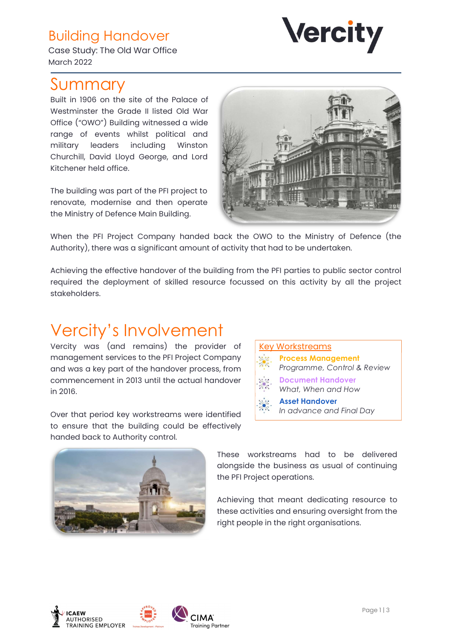# Building Handover

Case Study: The Old War Office March 2022



# Summary

Built in 1906 on the site of the Palace of Westminster the Grade II listed Old War Office ("OWO") Building witnessed a wide range of events whilst political and military leaders including Winston Churchill, David Lloyd George, and Lord Kitchener held office.

The building was part of the PFI project to renovate, modernise and then operate the Ministry of Defence Main Building.



When the PFI Project Company handed back the OWO to the Ministry of Defence (the Authority), there was a significant amount of activity that had to be undertaken.

Achieving the effective handover of the building from the PFI parties to public sector control required the deployment of skilled resource focussed on this activity by all the project stakeholders.

# Vercity's Involvement

Vercity was (and remains) the provider of management services to the PFI Project Company and was a key part of the handover process, from commencement in 2013 until the actual handover in 2016.

Over that period key workstreams were identified to ensure that the building could be effectively handed back to Authority control.





These workstreams had to be delivered alongside the business as usual of continuing the PFI Project operations.

Achieving that meant dedicating resource to these activities and ensuring oversight from the right people in the right organisations.





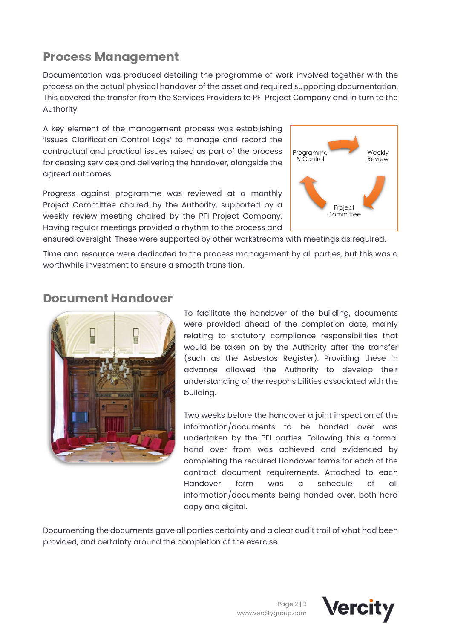## Process Management

Documentation was produced detailing the programme of work involved together with the process on the actual physical handover of the asset and required supporting documentation. This covered the transfer from the Services Providers to PFI Project Company and in turn to the Authority.

A key element of the management process was establishing 'Issues Clarification Control Logs' to manage and record the contractual and practical issues raised as part of the process for ceasing services and delivering the handover, alongside the agreed outcomes.

Progress against programme was reviewed at a monthly Project Committee chaired by the Authority, supported by a weekly review meeting chaired by the PFI Project Company. Having regular meetings provided a rhythm to the process and



ensured oversight. These were supported by other workstreams with meetings as required.

Time and resource were dedicated to the process management by all parties, but this was a worthwhile investment to ensure a smooth transition.

### Document Handover

To facilitate the handover of the building, documents were provided ahead of the completion date, mainly relating to statutory compliance responsibilities that would be taken on by the Authority after the transfer (such as the Asbestos Register). Providing these in advance allowed the Authority to develop their understanding of the responsibilities associated with the building.

Two weeks before the handover a joint inspection of the information/documents to be handed over was undertaken by the PFI parties. Following this a formal hand over from was achieved and evidenced by completing the required Handover forms for each of the contract document requirements. Attached to each Handover form was a schedule of all information/documents being handed over, both hard copy and digital.

Documenting the documents gave all parties certainty and a clear audit trail of what had been provided, and certainty around the completion of the exercise.